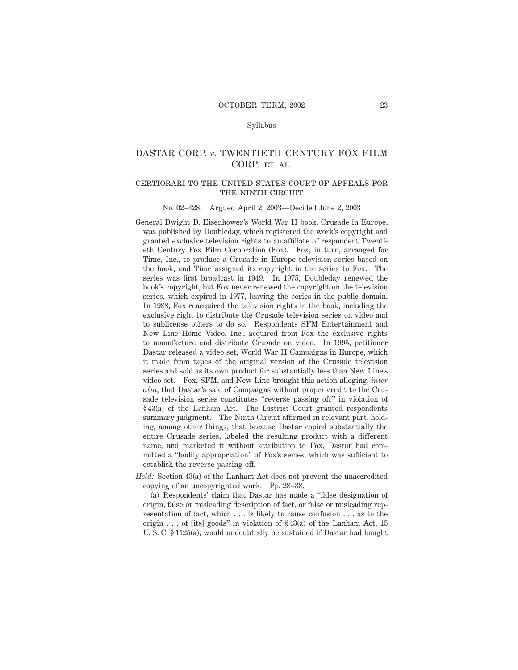#### Syllabus

## DASTAR CORP. *v.* TWENTIETH CENTURY FOX FILM CORP. et al.

### certiorari to the united states court of appeals forTHE NINTH CIRCUIT

### No. 02–428. Argued April 2, 2003—Decided June 2, 2003

General Dwight D. Eisenhower's World War II book, Crusade in Europe, was published by Doubleday, which registered the work's copyright and granted exclusive television rights to an affiliate of respondent Twentieth Century Fox Film Corporation (Fox). Fox, in turn, arranged for Time, Inc., to produce a Crusade in Europe television series based on the book, and Time assigned its copyright in the series to Fox. The series was first broadcast in 1949. In 1975, Doubleday renewed the book's copyright, but Fox never renewed the copyright on the television series, which expired in 1977, leaving the series in the public domain. In 1988, Fox reacquired the television rights in the book, including the exclusive right to distribute the Crusade television series on video and to sublicense others to do so. Respondents SFM Entertainment and New Line Home Video, Inc., acquired from Fox the exclusive rights to manufacture and distribute Crusade on video. In 1995, petitioner Dastar released a video set, World War II Campaigns in Europe, which it made from tapes of the original version of the Crusade television series and sold as its own product for substantially less than New Line's video set. Fox, SFM, and New Line brought this action alleging, *inter alia,* that Dastar's sale of Campaigns without proper credit to the Crusade television series constitutes "reverse passing off" in violation of § 43(a) of the Lanham Act. The District Court granted respondents summary judgment. The Ninth Circuit affirmed in relevant part, holding, among other things, that because Dastar copied substantially the entire Crusade series, labeled the resulting product with a different name, and marketed it without attribution to Fox, Dastar had committed a "bodily appropriation" of Fox's series, which was sufficient to establish the reverse passing off.

*Held:* Section 43(a) of the Lanham Act does not prevent the unaccredited copying of an uncopyrighted work. Pp. 28–38.

(a) Respondents' claim that Dastar has made a "false designation of origin, false or misleading description of fact, or false or misleading representation of fact, which . . . is likely to cause confusion . . . as to the origin . . . of [its] goods" in violation of § 43(a) of the Lanham Act, 15 U. S. C. § 1125(a), would undoubtedly be sustained if Dastar had bought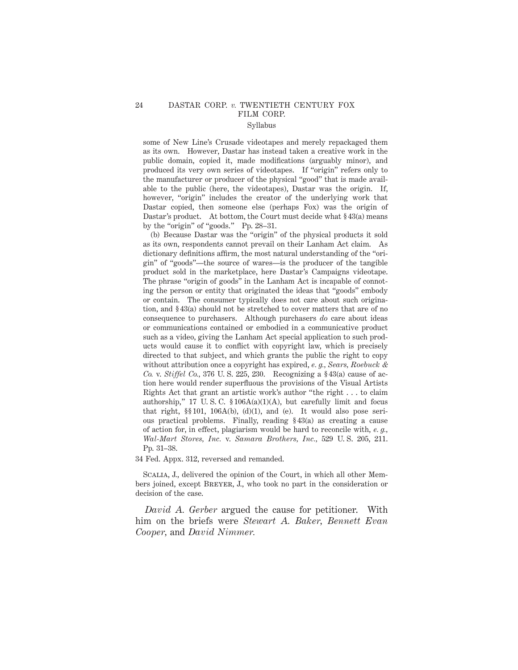### 24 DASTAR CORP. *v.* TWENTIETH CENTURY FOX FILM CORP.

### Syllabus

some of New Line's Crusade videotapes and merely repackaged them as its own. However, Dastar has instead taken a creative work in the public domain, copied it, made modifications (arguably minor), and produced its very own series of videotapes. If "origin" refers only to the manufacturer or producer of the physical "good" that is made available to the public (here, the videotapes), Dastar was the origin. If, however, "origin" includes the creator of the underlying work that Dastar copied, then someone else (perhaps Fox) was the origin of Dastar's product. At bottom, the Court must decide what § 43(a) means by the "origin" of "goods." Pp. 28–31.

(b) Because Dastar was the "origin" of the physical products it sold as its own, respondents cannot prevail on their Lanham Act claim. As dictionary definitions affirm, the most natural understanding of the "origin" of "goods"—the source of wares—is the producer of the tangible product sold in the marketplace, here Dastar's Campaigns videotape. The phrase "origin of goods" in the Lanham Act is incapable of connoting the person or entity that originated the ideas that "goods" embody or contain. The consumer typically does not care about such origination, and § 43(a) should not be stretched to cover matters that are of no consequence to purchasers. Although purchasers *do* care about ideas or communications contained or embodied in a communicative product such as a video, giving the Lanham Act special application to such products would cause it to conflict with copyright law, which is precisely directed to that subject, and which grants the public the right to copy without attribution once a copyright has expired, *e. g., Sears, Roebuck & Co.* v. *Stiffel Co.,* 376 U. S. 225, 230. Recognizing a § 43(a) cause of action here would render superfluous the provisions of the Visual Artists Rights Act that grant an artistic work's author "the right . . . to claim authorship," 17 U.S.C.  $$106A(a)(1)(A)$ , but carefully limit and focus that right,  $\S$  101, 106A(b), (d)(1), and (e). It would also pose serious practical problems. Finally, reading § 43(a) as creating a cause of action for, in effect, plagiarism would be hard to reconcile with, *e. g., Wal-Mart Stores, Inc.* v. *Samara Brothers, Inc.,* 529 U. S. 205, 211. Pp. 31–38.

34 Fed. Appx. 312, reversed and remanded.

Scalia, J., delivered the opinion of the Court, in which all other Members joined, except Breyer, J., who took no part in the consideration or decision of the case.

*David A. Gerber* argued the cause for petitioner. With him on the briefs were *Stewart A. Baker, Bennett Evan Cooper,* and *David Nimmer.*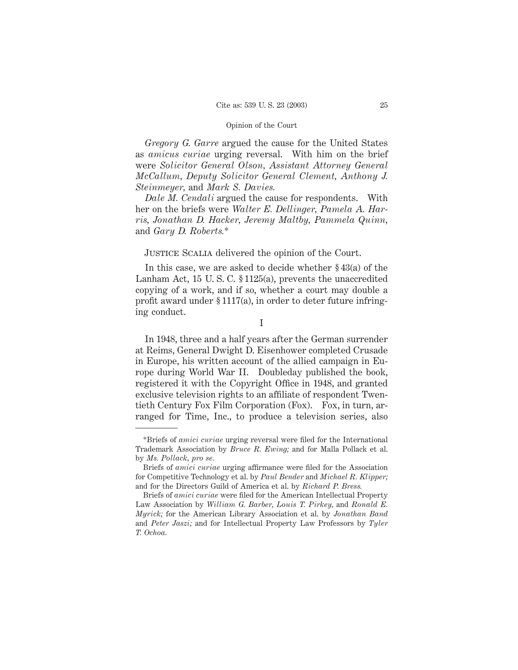*Gregory G. Garre* argued the cause for the United States as *amicus curiae* urging reversal. With him on the brief were *Solicitor General Olson, Assistant Attorney General McCallum, Deputy Solicitor General Clement, Anthony J. Steinmeyer,* and *Mark S. Davies.*

*Dale M. Cendali* argued the cause for respondents. With her on the briefs were *Walter E. Dellinger, Pamela A. Harris, Jonathan D. Hacker, Jeremy Maltby, Pammela Quinn,* and *Gary D. Roberts.*\*

## Justice Scalia delivered the opinion of the Court.

In this case, we are asked to decide whether § 43(a) of the Lanham Act, 15 U. S. C. § 1125(a), prevents the unaccredited copying of a work, and if so, whether a court may double a profit award under § 1117(a), in order to deter future infringing conduct.

In 1948, three and a half years after the German surrender at Reims, General Dwight D. Eisenhower completed Crusade in Europe, his written account of the allied campaign in Europe during World War II. Doubleday published the book, registered it with the Copyright Office in 1948, and granted exclusive television rights to an affiliate of respondent Twentieth Century Fox Film Corporation (Fox). Fox, in turn, arranged for Time, Inc., to produce a television series, also

I

<sup>\*</sup>Briefs of *amici curiae* urging reversal were filed for the International Trademark Association by *Bruce R. Ewing;* and for Malla Pollack et al. by *Ms. Pollack, pro se.*

Briefs of *amici curiae* urging affirmance were filed for the Association for Competitive Technology et al. by *Paul Bender* and *Michael R. Klipper;* and for the Directors Guild of America et al. by *Richard P. Bress.*

Briefs of *amici curiae* were filed for the American Intellectual Property Law Association by *William G. Barber, Louis T. Pirkey,* and *Ronald E. Myrick;* for the American Library Association et al. by *Jonathan Band* and *Peter Jaszi;* and for Intellectual Property Law Professors by *Tyler T. Ochoa.*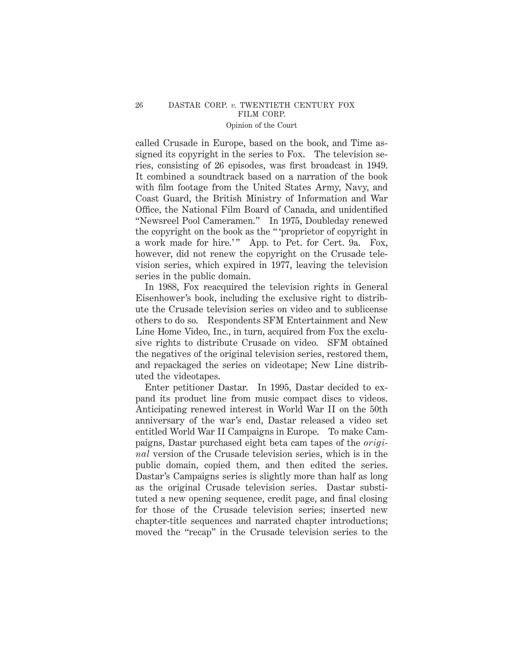called Crusade in Europe, based on the book, and Time assigned its copyright in the series to Fox. The television series, consisting of 26 episodes, was first broadcast in 1949. It combined a soundtrack based on a narration of the book with film footage from the United States Army, Navy, and Coast Guard, the British Ministry of Information and War Office, the National Film Board of Canada, and unidentified "Newsreel Pool Cameramen." In 1975, Doubleday renewed the copyright on the book as the " 'proprietor of copyright in a work made for hire.'" App. to Pet. for Cert. 9a. Fox, however, did not renew the copyright on the Crusade television series, which expired in 1977, leaving the television series in the public domain.

In 1988, Fox reacquired the television rights in General Eisenhower's book, including the exclusive right to distribute the Crusade television series on video and to sublicense others to do so. Respondents SFM Entertainment and New Line Home Video, Inc., in turn, acquired from Fox the exclusive rights to distribute Crusade on video. SFM obtained the negatives of the original television series, restored them, and repackaged the series on videotape; New Line distributed the videotapes.

Enter petitioner Dastar. In 1995, Dastar decided to expand its product line from music compact discs to videos. Anticipating renewed interest in World War II on the 50th anniversary of the war's end, Dastar released a video set entitled World War II Campaigns in Europe. To make Campaigns, Dastar purchased eight beta cam tapes of the *original* version of the Crusade television series, which is in the public domain, copied them, and then edited the series. Dastar's Campaigns series is slightly more than half as long as the original Crusade television series. Dastar substituted a new opening sequence, credit page, and final closing for those of the Crusade television series; inserted new chapter-title sequences and narrated chapter introductions; moved the "recap" in the Crusade television series to the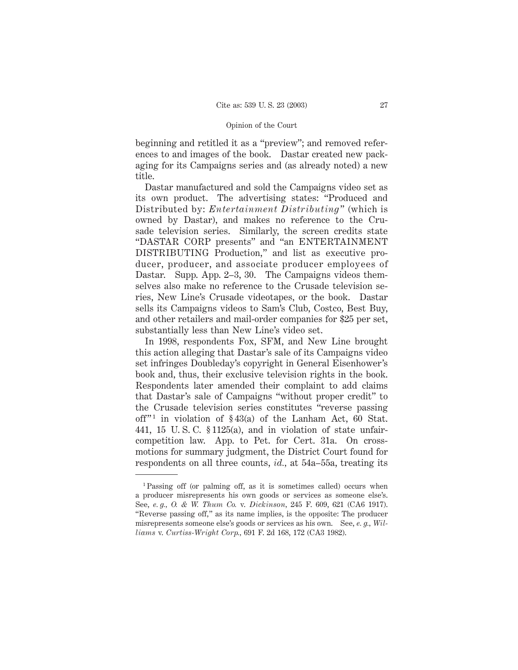beginning and retitled it as a "preview"; and removed references to and images of the book. Dastar created new packaging for its Campaigns series and (as already noted) a new title.

Dastar manufactured and sold the Campaigns video set as its own product. The advertising states: "Produced and Distributed by: *Entertainment Distributing* " (which is owned by Dastar), and makes no reference to the Crusade television series. Similarly, the screen credits state "DASTAR CORP presents" and "an ENTERTAINMENT DISTRIBUTING Production," and list as executive producer, producer, and associate producer employees of Dastar. Supp. App. 2–3, 30. The Campaigns videos themselves also make no reference to the Crusade television series, New Line's Crusade videotapes, or the book. Dastar sells its Campaigns videos to Sam's Club, Costco, Best Buy, and other retailers and mail-order companies for \$25 per set, substantially less than New Line's video set.

In 1998, respondents Fox, SFM, and New Line brought this action alleging that Dastar's sale of its Campaigns video set infringes Doubleday's copyright in General Eisenhower's book and, thus, their exclusive television rights in the book. Respondents later amended their complaint to add claims that Dastar's sale of Campaigns "without proper credit" to the Crusade television series constitutes "reverse passing off"<sup>1</sup> in violation of  $\S 43(a)$  of the Lanham Act, 60 Stat. 441, 15 U. S. C. § 1125(a), and in violation of state unfaircompetition law. App. to Pet. for Cert. 31a. On crossmotions for summary judgment, the District Court found for respondents on all three counts, *id.,* at 54a–55a, treating its

<sup>&</sup>lt;sup>1</sup>Passing off (or palming off, as it is sometimes called) occurs when a producer misrepresents his own goods or services as someone else's. See, *e. g., O. & W. Thum Co.* v. *Dickinson,* 245 F. 609, 621 (CA6 1917). "Reverse passing off," as its name implies, is the opposite: The producer misrepresents someone else's goods or services as his own. See, *e. g., Williams* v. *Curtiss-Wright Corp.,* 691 F. 2d 168, 172 (CA3 1982).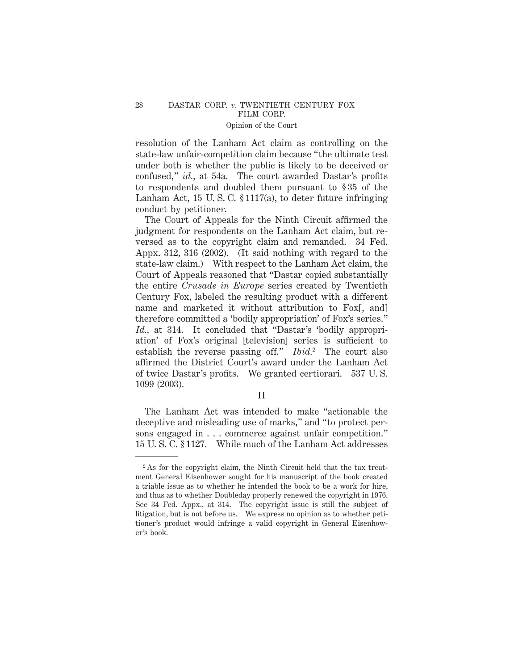resolution of the Lanham Act claim as controlling on the state-law unfair-competition claim because "the ultimate test under both is whether the public is likely to be deceived or confused," *id.,* at 54a. The court awarded Dastar's profits to respondents and doubled them pursuant to § 35 of the Lanham Act, 15 U. S. C. § 1117(a), to deter future infringing conduct by petitioner.

The Court of Appeals for the Ninth Circuit affirmed the judgment for respondents on the Lanham Act claim, but reversed as to the copyright claim and remanded. 34 Fed. Appx. 312, 316 (2002). (It said nothing with regard to the state-law claim.) With respect to the Lanham Act claim, the Court of Appeals reasoned that "Dastar copied substantially the entire *Crusade in Europe* series created by Twentieth Century Fox, labeled the resulting product with a different name and marketed it without attribution to Fox[, and] therefore committed a 'bodily appropriation' of Fox's series." *Id.,* at 314. It concluded that "Dastar's 'bodily appropriation' of Fox's original [television] series is sufficient to establish the reverse passing off." *Ibid.*<sup>2</sup> The court also affirmed the District Court's award under the Lanham Act of twice Dastar's profits. We granted certiorari. 537 U. S. 1099 (2003).

The Lanham Act was intended to make "actionable the deceptive and misleading use of marks," and "to protect persons engaged in... commerce against unfair competition." 15 U. S. C. § 1127. While much of the Lanham Act addresses

<sup>2</sup> As for the copyright claim, the Ninth Circuit held that the tax treatment General Eisenhower sought for his manuscript of the book created a triable issue as to whether he intended the book to be a work for hire, and thus as to whether Doubleday properly renewed the copyright in 1976. See 34 Fed. Appx., at 314. The copyright issue is still the subject of litigation, but is not before us. We express no opinion as to whether petitioner's product would infringe a valid copyright in General Eisenhower's book.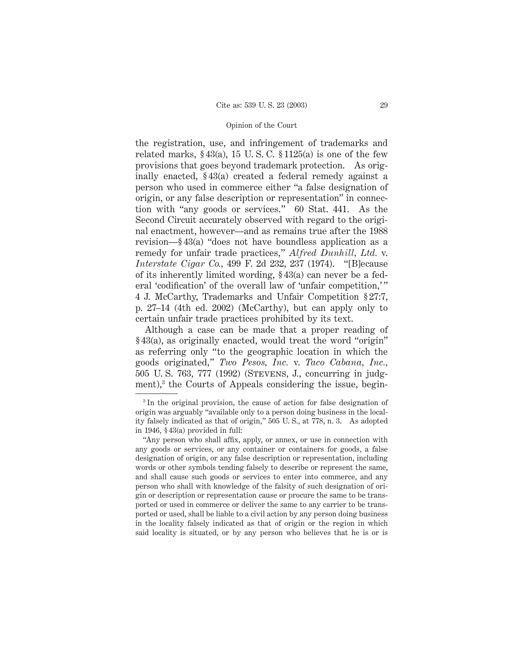the registration, use, and infringement of trademarks and related marks,  $\S 43(a)$ , 15 U.S.C.  $\S 1125(a)$  is one of the few provisions that goes beyond trademark protection. As originally enacted, § 43(a) created a federal remedy against a person who used in commerce either "a false designation of origin, or any false description or representation" in connection with "any goods or services." 60 Stat. 441. As the Second Circuit accurately observed with regard to the original enactment, however—and as remains true after the 1988 revision—§ 43(a) "does not have boundless application as a remedy for unfair trade practices," *Alfred Dunhill, Ltd.* v. *Interstate Cigar Co.,* 499 F. 2d 232, 237 (1974). "[B]ecause of its inherently limited wording, § 43(a) can never be a federal 'codification' of the overall law of 'unfair competition,'" 4 J. McCarthy, Trademarks and Unfair Competition § 27:7, p. 27–14 (4th ed. 2002) (McCarthy), but can apply only to certain unfair trade practices prohibited by its text.

Although a case can be made that a proper reading of § 43(a), as originally enacted, would treat the word "origin" as referring only "to the geographic location in which the goods originated," *Two Pesos, Inc.* v. *Taco Cabana, Inc.,* 505 U. S. 763, 777 (1992) (Stevens, J., concurring in judgment),<sup>3</sup> the Courts of Appeals considering the issue, begin-

<sup>3</sup> In the original provision, the cause of action for false designation of origin was arguably "available only to a person doing business in the locality falsely indicated as that of origin," 505 U. S., at 778, n. 3. As adopted in 1946, § 43(a) provided in full:

<sup>&</sup>quot;Any person who shall affix, apply, or annex, or use in connection with any goods or services, or any container or containers for goods, a false designation of origin, or any false description or representation, including words or other symbols tending falsely to describe or represent the same, and shall cause such goods or services to enter into commerce, and any person who shall with knowledge of the falsity of such designation of origin or description or representation cause or procure the same to be transported or used in commerce or deliver the same to any carrier to be transported or used, shall be liable to a civil action by any person doing business in the locality falsely indicated as that of origin or the region in which said locality is situated, or by any person who believes that he is or is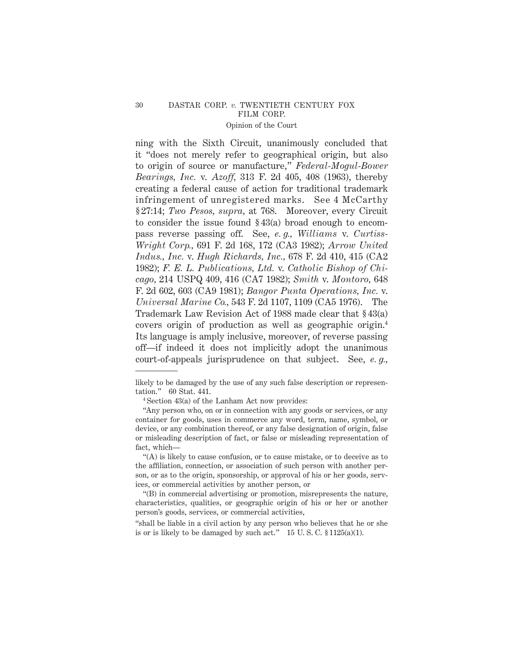# 30 DASTAR CORP. *v.* TWENTIETH CENTURY FOX FILM CORP.

### Opinion of the Court

ning with the Sixth Circuit, unanimously concluded that it "does not merely refer to geographical origin, but also to origin of source or manufacture," *Federal-Mogul-Bower Bearings, Inc.* v. *Azoff,* 313 F. 2d 405, 408 (1963), thereby creating a federal cause of action for traditional trademark infringement of unregistered marks. See 4 McCarthy § 27:14; *Two Pesos, supra,* at 768. Moreover, every Circuit to consider the issue found § 43(a) broad enough to encompass reverse passing off. See, *e. g., Williams* v. *Curtiss-Wright Corp.,* 691 F. 2d 168, 172 (CA3 1982); *Arrow United Indus., Inc.* v. *Hugh Richards, Inc.,* 678 F. 2d 410, 415 (CA2 1982); *F. E. L. Publications, Ltd.* v. *Catholic Bishop of Chicago,* 214 USPQ 409, 416 (CA7 1982); *Smith* v. *Montoro,* 648 F. 2d 602, 603 (CA9 1981); *Bangor Punta Operations, Inc.* v. *Universal Marine Co.,* 543 F. 2d 1107, 1109 (CA5 1976). The Trademark Law Revision Act of 1988 made clear that § 43(a) covers origin of production as well as geographic origin.4 Its language is amply inclusive, moreover, of reverse passing off—if indeed it does not implicitly adopt the unanimous court-of-appeals jurisprudence on that subject. See, *e. g.,*

likely to be damaged by the use of any such false description or representation." 60 Stat. 441.

<sup>4</sup> Section 43(a) of the Lanham Act now provides:

<sup>&</sup>quot;Any person who, on or in connection with any goods or services, or any container for goods, uses in commerce any word, term, name, symbol, or device, or any combination thereof, or any false designation of origin, false or misleading description of fact, or false or misleading representation of fact, which—

<sup>&</sup>quot;(A) is likely to cause confusion, or to cause mistake, or to deceive as to the affiliation, connection, or association of such person with another person, or as to the origin, sponsorship, or approval of his or her goods, services, or commercial activities by another person, or

<sup>&</sup>quot;(B) in commercial advertising or promotion, misrepresents the nature, characteristics, qualities, or geographic origin of his or her or another person's goods, services, or commercial activities,

<sup>&</sup>quot;shall be liable in a civil action by any person who believes that he or she is or is likely to be damaged by such act."  $15 \text{ U.S. C. }$  \$1125(a)(1).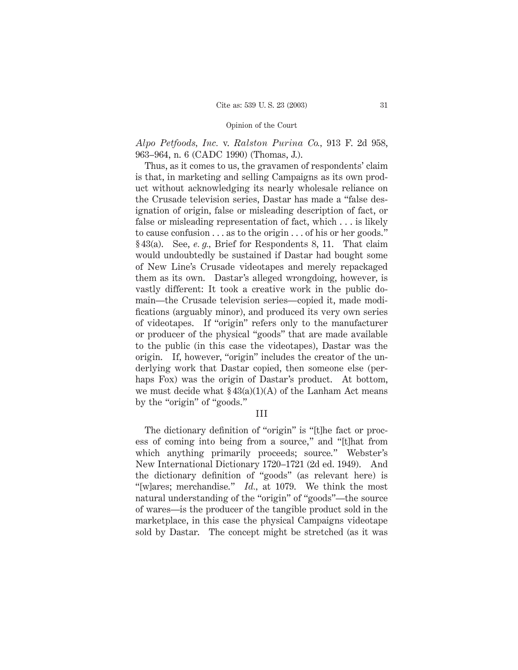*Alpo Petfoods, Inc.* v. *Ralston Purina Co.,* 913 F. 2d 958, 963–964, n. 6 (CADC 1990) (Thomas, J.).

Thus, as it comes to us, the gravamen of respondents' claim is that, in marketing and selling Campaigns as its own product without acknowledging its nearly wholesale reliance on the Crusade television series, Dastar has made a "false designation of origin, false or misleading description of fact, or false or misleading representation of fact, which . . . is likely to cause confusion . . . as to the origin . . . of his or her goods." § 43(a). See, *e. g.,* Brief for Respondents 8, 11. That claim would undoubtedly be sustained if Dastar had bought some of New Line's Crusade videotapes and merely repackaged them as its own. Dastar's alleged wrongdoing, however, is vastly different: It took a creative work in the public domain—the Crusade television series—copied it, made modifications (arguably minor), and produced its very own series of videotapes. If "origin" refers only to the manufacturer or producer of the physical "goods" that are made available to the public (in this case the videotapes), Dastar was the origin. If, however, "origin" includes the creator of the underlying work that Dastar copied, then someone else (perhaps Fox) was the origin of Dastar's product. At bottom, we must decide what  $\S 43(a)(1)(A)$  of the Lanham Act means by the "origin" of "goods."

### III

The dictionary definition of "origin" is "[t]he fact or process of coming into being from a source," and "[t]hat from which anything primarily proceeds; source." Webster's New International Dictionary 1720–1721 (2d ed. 1949). And the dictionary definition of "goods" (as relevant here) is "[w]ares; merchandise." *Id.,* at 1079. We think the most natural understanding of the "origin" of "goods"—the source of wares—is the producer of the tangible product sold in the marketplace, in this case the physical Campaigns videotape sold by Dastar. The concept might be stretched (as it was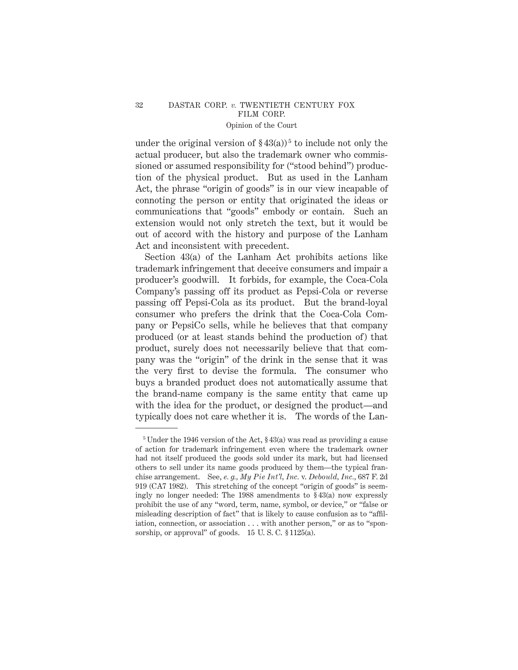under the original version of  $\S 43(a)$ <sup>5</sup> to include not only the actual producer, but also the trademark owner who commissioned or assumed responsibility for ("stood behind") production of the physical product. But as used in the Lanham Act, the phrase "origin of goods" is in our view incapable of connoting the person or entity that originated the ideas or communications that "goods" embody or contain. Such an extension would not only stretch the text, but it would be out of accord with the history and purpose of the Lanham Act and inconsistent with precedent.

Section 43(a) of the Lanham Act prohibits actions like trademark infringement that deceive consumers and impair a producer's goodwill. It forbids, for example, the Coca-Cola Company's passing off its product as Pepsi-Cola or reverse passing off Pepsi-Cola as its product. But the brand-loyal consumer who prefers the drink that the Coca-Cola Company or PepsiCo sells, while he believes that that company produced (or at least stands behind the production of) that product, surely does not necessarily believe that that company was the "origin" of the drink in the sense that it was the very first to devise the formula. The consumer who buys a branded product does not automatically assume that the brand-name company is the same entity that came up with the idea for the product, or designed the product—and typically does not care whether it is. The words of the Lan-

<sup>5</sup> Under the 1946 version of the Act, § 43(a) was read as providing a cause of action for trademark infringement even where the trademark owner had not itself produced the goods sold under its mark, but had licensed others to sell under its name goods produced by them—the typical franchise arrangement. See, *e. g., My Pie Int'l, Inc.* v. *Debould, Inc.,* 687 F. 2d 919 (CA7 1982). This stretching of the concept "origin of goods" is seemingly no longer needed: The 1988 amendments to § 43(a) now expressly prohibit the use of any "word, term, name, symbol, or device," or "false or misleading description of fact" that is likely to cause confusion as to "affiliation, connection, or association . . . with another person," or as to "sponsorship, or approval" of goods. 15 U.S.C. § 1125(a).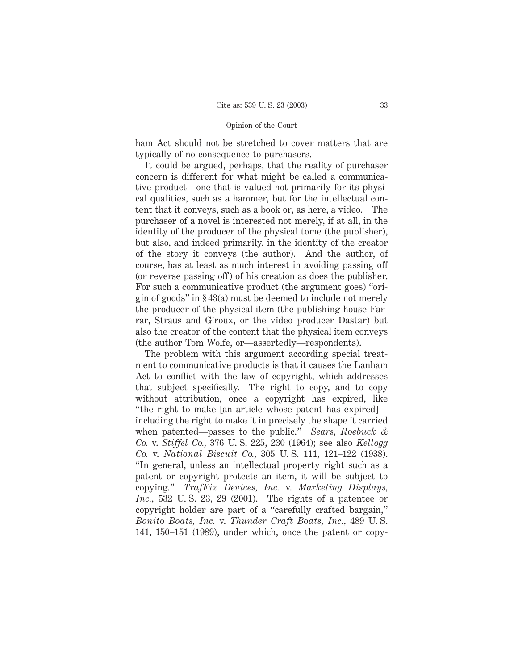ham Act should not be stretched to cover matters that are typically of no consequence to purchasers.

It could be argued, perhaps, that the reality of purchaser concern is different for what might be called a communicative product—one that is valued not primarily for its physical qualities, such as a hammer, but for the intellectual content that it conveys, such as a book or, as here, a video. The purchaser of a novel is interested not merely, if at all, in the identity of the producer of the physical tome (the publisher), but also, and indeed primarily, in the identity of the creator of the story it conveys (the author). And the author, of course, has at least as much interest in avoiding passing off (or reverse passing off) of his creation as does the publisher. For such a communicative product (the argument goes) "origin of goods" in § 43(a) must be deemed to include not merely the producer of the physical item (the publishing house Farrar, Straus and Giroux, or the video producer Dastar) but also the creator of the content that the physical item conveys (the author Tom Wolfe, or—assertedly—respondents).

The problem with this argument according special treatment to communicative products is that it causes the Lanham Act to conflict with the law of copyright, which addresses that subject specifically. The right to copy, and to copy without attribution, once a copyright has expired, like "the right to make [an article whose patent has expired] including the right to make it in precisely the shape it carried when patented—passes to the public." *Sears, Roebuck & Co.* v. *Stiffel Co.,* 376 U. S. 225, 230 (1964); see also *Kellogg Co.* v. *National Biscuit Co.,* 305 U. S. 111, 121–122 (1938). "In general, unless an intellectual property right such as a patent or copyright protects an item, it will be subject to copying." *TrafFix Devices, Inc.* v. *Marketing Displays, Inc.,* 532 U. S. 23, 29 (2001). The rights of a patentee or copyright holder are part of a "carefully crafted bargain," *Bonito Boats, Inc.* v. *Thunder Craft Boats, Inc.,* 489 U. S. 141, 150–151 (1989), under which, once the patent or copy-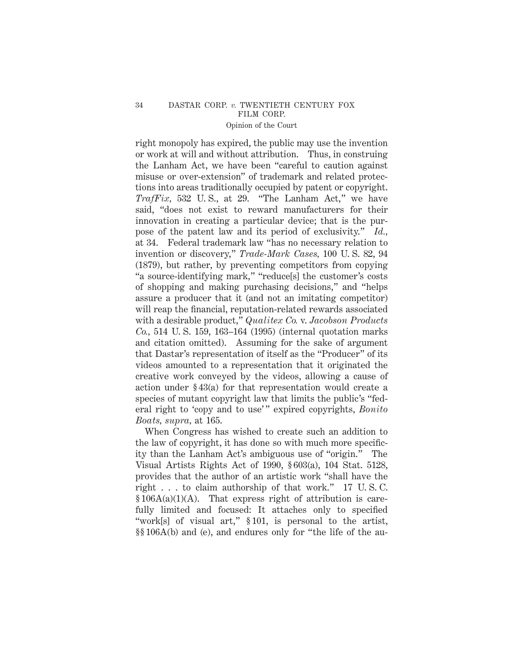right monopoly has expired, the public may use the invention or work at will and without attribution. Thus, in construing the Lanham Act, we have been "careful to caution against misuse or over-extension" of trademark and related protections into areas traditionally occupied by patent or copyright. *TrafFix,* 532 U. S., at 29. "The Lanham Act," we have said, "does not exist to reward manufacturers for their innovation in creating a particular device; that is the purpose of the patent law and its period of exclusivity." *Id.,* at 34. Federal trademark law "has no necessary relation to invention or discovery," *Trade-Mark Cases,* 100 U. S. 82, 94 (1879), but rather, by preventing competitors from copying "a source-identifying mark," "reduce[s] the customer's costs of shopping and making purchasing decisions," and "helps assure a producer that it (and not an imitating competitor) will reap the financial, reputation-related rewards associated with a desirable product," *Qualitex Co.* v. *Jacobson Products Co.,* 514 U. S. 159, 163–164 (1995) (internal quotation marks and citation omitted). Assuming for the sake of argument that Dastar's representation of itself as the "Producer" of its videos amounted to a representation that it originated the creative work conveyed by the videos, allowing a cause of action under § 43(a) for that representation would create a species of mutant copyright law that limits the public's "federal right to 'copy and to use'" expired copyrights, *Bonito Boats, supra,* at 165.

When Congress has wished to create such an addition to the law of copyright, it has done so with much more specificity than the Lanham Act's ambiguous use of "origin." The Visual Artists Rights Act of 1990, § 603(a), 104 Stat. 5128, provides that the author of an artistic work "shall have the right . . . to claim authorship of that work." 17 U. S. C.  $§ 106A(a)(1)(A)$ . That express right of attribution is carefully limited and focused: It attaches only to specified "work[s] of visual art," § 101, is personal to the artist, §§ 106A(b) and (e), and endures only for "the life of the au-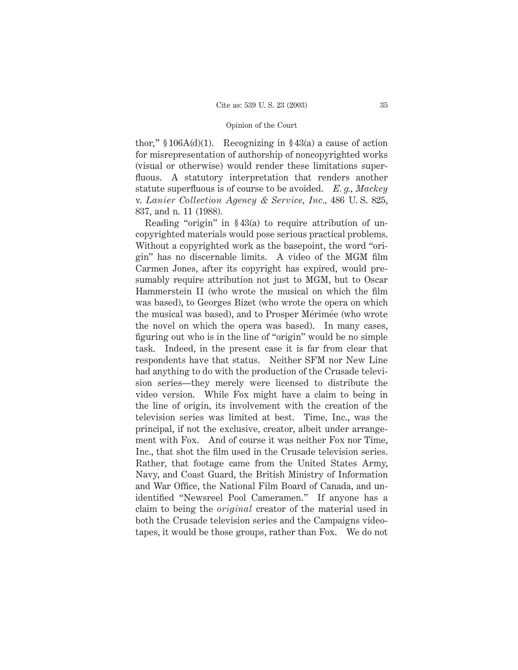thor,"  $\$106A(d)(1)$ . Recognizing in  $\$43(a)$  a cause of action for misrepresentation of authorship of noncopyrighted works (visual or otherwise) would render these limitations superfluous. A statutory interpretation that renders another statute superfluous is of course to be avoided. *E. g., Mackey* v. *Lanier Collection Agency & Service, Inc.,* 486 U. S. 825, 837, and n. 11 (1988).

Reading "origin" in § 43(a) to require attribution of uncopyrighted materials would pose serious practical problems. Without a copyrighted work as the basepoint, the word "origin" has no discernable limits. A video of the MGM film Carmen Jones, after its copyright has expired, would presumably require attribution not just to MGM, but to Oscar Hammerstein II (who wrote the musical on which the film was based), to Georges Bizet (who wrote the opera on which the musical was based), and to Prosper Mérimée (who wrote the novel on which the opera was based). In many cases, figuring out who is in the line of "origin" would be no simple task. Indeed, in the present case it is far from clear that respondents have that status. Neither SFM nor New Line had anything to do with the production of the Crusade television series—they merely were licensed to distribute the video version. While Fox might have a claim to being in the line of origin, its involvement with the creation of the television series was limited at best. Time, Inc., was the principal, if not the exclusive, creator, albeit under arrangement with Fox. And of course it was neither Fox nor Time, Inc., that shot the film used in the Crusade television series. Rather, that footage came from the United States Army, Navy, and Coast Guard, the British Ministry of Information and War Office, the National Film Board of Canada, and unidentified "Newsreel Pool Cameramen." If anyone has a claim to being the *original* creator of the material used in both the Crusade television series and the Campaigns videotapes, it would be those groups, rather than Fox. We do not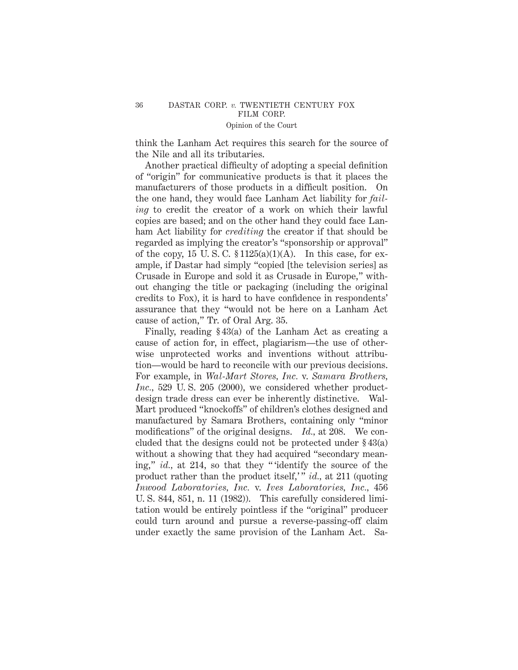think the Lanham Act requires this search for the source of the Nile and all its tributaries.

Another practical difficulty of adopting a special definition of "origin" for communicative products is that it places the manufacturers of those products in a difficult position. On the one hand, they would face Lanham Act liability for *failing* to credit the creator of a work on which their lawful copies are based; and on the other hand they could face Lanham Act liability for *crediting* the creator if that should be regarded as implying the creator's "sponsorship or approval" of the copy, 15 U.S.C.  $$1125(a)(1)(A)$ . In this case, for example, if Dastar had simply "copied [the television series] as Crusade in Europe and sold it as Crusade in Europe," without changing the title or packaging (including the original credits to Fox), it is hard to have confidence in respondents' assurance that they "would not be here on a Lanham Act cause of action," Tr. of Oral Arg. 35.

Finally, reading § 43(a) of the Lanham Act as creating a cause of action for, in effect, plagiarism—the use of otherwise unprotected works and inventions without attribution—would be hard to reconcile with our previous decisions. For example, in *Wal-Mart Stores, Inc.* v. *Samara Brothers, Inc.*, 529 U.S. 205 (2000), we considered whether productdesign trade dress can ever be inherently distinctive. Wal-Mart produced "knockoffs" of children's clothes designed and manufactured by Samara Brothers, containing only "minor modifications" of the original designs. *Id.,* at 208. We concluded that the designs could not be protected under § 43(a) without a showing that they had acquired "secondary meaning," *id.*, at 214, so that they " 'identify the source of the product rather than the product itself," *id.*, at 211 (quoting *Inwood Laboratories, Inc.* v. *Ives Laboratories, Inc.,* 456 U. S. 844, 851, n. 11 (1982)). This carefully considered limitation would be entirely pointless if the "original" producer could turn around and pursue a reverse-passing-off claim under exactly the same provision of the Lanham Act. Sa-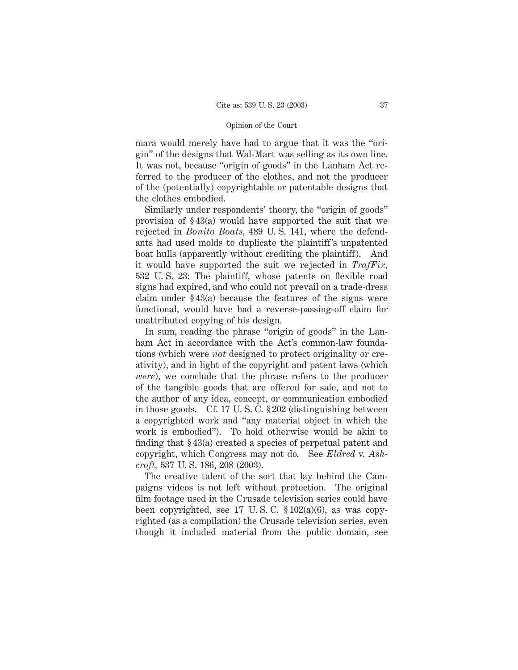mara would merely have had to argue that it was the "origin" of the designs that Wal-Mart was selling as its own line. It was not, because "origin of goods" in the Lanham Act referred to the producer of the clothes, and not the producer of the (potentially) copyrightable or patentable designs that the clothes embodied.

Similarly under respondents' theory, the "origin of goods" provision of § 43(a) would have supported the suit that we rejected in *Bonito Boats,* 489 U. S. 141, where the defendants had used molds to duplicate the plaintiff's unpatented boat hulls (apparently without crediting the plaintiff). And it would have supported the suit we rejected in *TrafFix,* 532 U. S. 23: The plaintiff, whose patents on flexible road signs had expired, and who could not prevail on a trade-dress claim under § 43(a) because the features of the signs were functional, would have had a reverse-passing-off claim for unattributed copying of his design.

In sum, reading the phrase "origin of goods" in the Lanham Act in accordance with the Act's common-law foundations (which were *not* designed to protect originality or creativity), and in light of the copyright and patent laws (which *were*), we conclude that the phrase refers to the producer of the tangible goods that are offered for sale, and not to the author of any idea, concept, or communication embodied in those goods. Cf. 17 U. S. C. § 202 (distinguishing between a copyrighted work and "any material object in which the work is embodied"). To hold otherwise would be akin to finding that § 43(a) created a species of perpetual patent and copyright, which Congress may not do. See *Eldred* v. *Ashcroft,* 537 U. S. 186, 208 (2003).

The creative talent of the sort that lay behind the Campaigns videos is not left without protection. The original film footage used in the Crusade television series could have been copyrighted, see 17 U.S.C.  $$102(a)(6)$ , as was copyrighted (as a compilation) the Crusade television series, even though it included material from the public domain, see